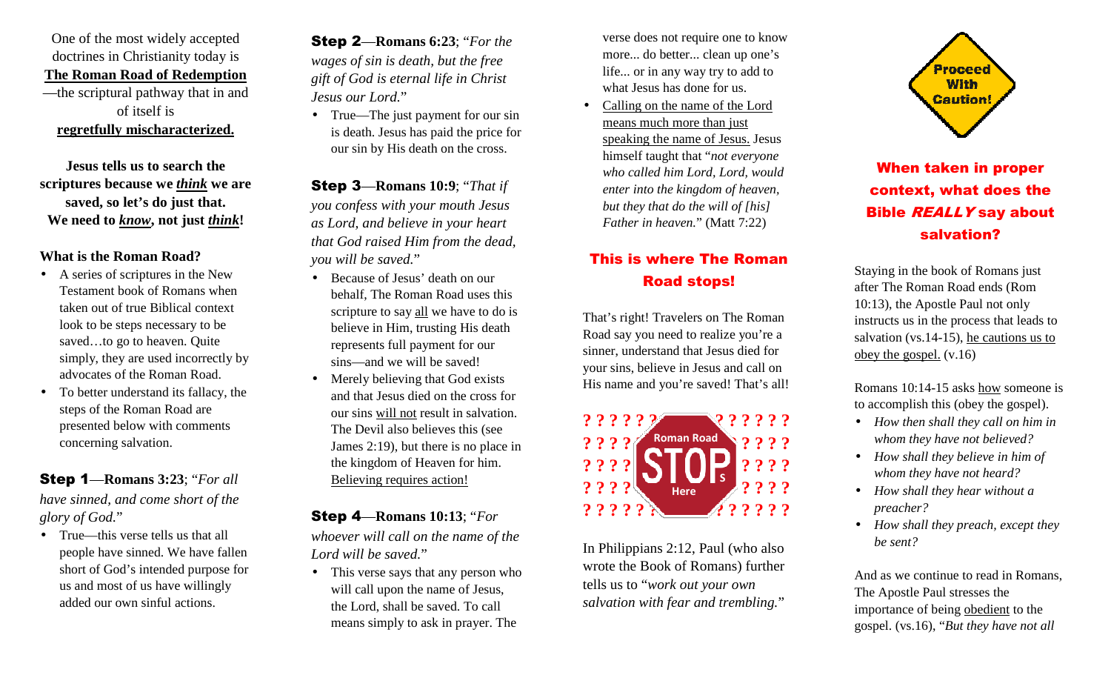One of the most widely accepted doctrines in Christianity today is **The Roman Road of Redemption** —the scriptural pathway that in and of itself is **regretfully mischaracterized.**

**Jesus tells us to search the scriptures because we** *think* **we are saved, so let's do just that. We need to** *know***, not just** *think***!** 

#### **What is the Roman Road?**

- A series of scriptures in the New Testament book of Romans when taken out of true Biblical context look to be steps necessary to be saved…to go to heaven. Quite simply, they are used incorrectly by advocates of the Roman Road.
- • To better understand its fallacy, the steps of the Roman Road are presented below with comments concerning salvation.

Step 1—**Romans 3:23**; "*For all have sinned, and come short of the glory of God.*"

• True—this verse tells us that all people have sinned. We have fallen short of God's intended purpose for us and most of us have willingly added our own sinful actions.

Step 2—**Romans 6:23**; "*For the wages of sin is death, but the free gift of God is eternal life in Christ Jesus our Lord.*"

• True—The just payment for our sin is death. Jesus has paid the price for our sin by His death on the cross.

Step 3—**Romans 10:9**; "*That if you confess with your mouth Jesus as Lord, and believe in your heart that God raised Him from the dead, you will be saved.*"

- Because of Jesus' death on our behalf, The Roman Road uses this scripture to say all we have to do is believe in Him, trusting His death represents full payment for our sins—and we will be saved!
- $\bullet$  Merely believing that God exists and that Jesus died on the cross for our sins will not result in salvation. The Devil also believes this (see James 2:19), but there is no place in the kingdom of Heaven for him. Believing requires action!

Step 4—**Romans 10:13**; "*For whoever will call on the name of the Lord will be saved.*"

• This verse says that any person who will call upon the name of Jesus, the Lord, shall be saved. To call means simply to ask in prayer. The

verse does not require one to know more... do better... clean up one's life... or in any way try to add to what Jesus has done for us.

• Calling on the name of the Lord means much more than just speaking the name of Jesus. Jesus himself taught that "*not everyone who called him Lord, Lord, would enter into the kingdom of heaven, but they that do the will of [his] Father in heaven.*" (Matt 7:22)

### This is where The Roman Road stops!

That's right! Travelers on The Roman Road say you need to realize you're a sinner, understand that Jesus died for your sins, believe in Jesus and call on His name and you're saved! That's all!



In Philippians 2:12, Paul (who also wrote the Book of Romans) further tells us to "*work out your own salvation with fear and trembling.*"



## When taken in proper context, what does the **Bible REALLY say about** salvation?

Staying in the book of Romans just after The Roman Road ends (Rom 10:13), the Apostle Paul not only instructs us in the process that leads to salvation (vs.14-15), he cautions us to obey the gospel. (v.16)

Romans 10:14-15 asks how someone is to accomplish this (obey the gospel).

- *How then shall they call on him in whom they have not believed?*
- *How shall they believe in him of whom they have not heard?*
- *How shall they hear without a preacher?*
- *How shall they preach, except they be sent?*

And as we continue to read in Romans, The Apostle Paul stresses the importance of being obedient to the gospel. (vs.16), "*But they have not all*